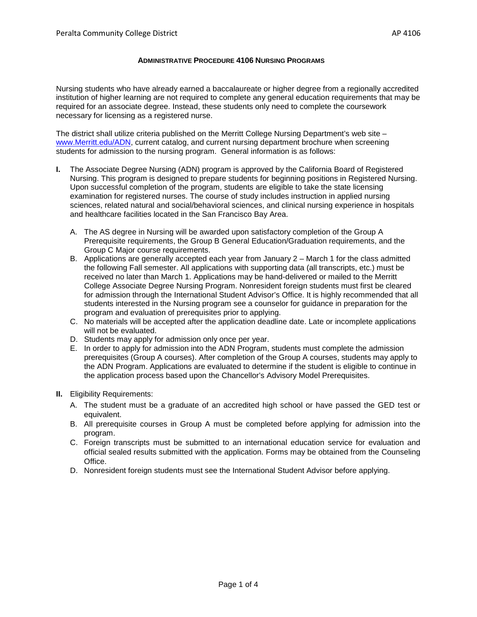#### **ADMINISTRATIVE PROCEDURE 4106 NURSING PROGRAMS**

Nursing students who have already earned a baccalaureate or higher degree from a regionally accredited institution of higher learning are not required to complete any general education requirements that may be required for an associate degree. Instead, these students only need to complete the coursework necessary for licensing as a registered nurse.

The district shall utilize criteria published on the Merritt College Nursing Department's web site – [www.Merritt.edu/ADN,](http://www.merritt.edu/ADN) current catalog, and current nursing department brochure when screening students for admission to the nursing program. General information is as follows:

- **I.** The Associate Degree Nursing (ADN) program is approved by the California Board of Registered Nursing. This program is designed to prepare students for beginning positions in Registered Nursing. Upon successful completion of the program, students are eligible to take the state licensing examination for registered nurses. The course of study includes instruction in applied nursing sciences, related natural and social/behavioral sciences, and clinical nursing experience in hospitals and healthcare facilities located in the San Francisco Bay Area.
	- A. The AS degree in Nursing will be awarded upon satisfactory completion of the Group A Prerequisite requirements, the Group B General Education/Graduation requirements, and the Group C Major course requirements.
	- B. Applications are generally accepted each year from January 2 March 1 for the class admitted the following Fall semester. All applications with supporting data (all transcripts, etc.) must be received no later than March 1. Applications may be hand-delivered or mailed to the Merritt College Associate Degree Nursing Program. Nonresident foreign students must first be cleared for admission through the International Student Advisor's Office. It is highly recommended that all students interested in the Nursing program see a counselor for guidance in preparation for the program and evaluation of prerequisites prior to applying.
	- C. No materials will be accepted after the application deadline date. Late or incomplete applications will not be evaluated.
	- D. Students may apply for admission only once per year.
	- E. In order to apply for admission into the ADN Program, students must complete the admission prerequisites (Group A courses). After completion of the Group A courses, students may apply to the ADN Program. Applications are evaluated to determine if the student is eligible to continue in the application process based upon the Chancellor's Advisory Model Prerequisites.
- **II.** Eligibility Requirements:
	- A. The student must be a graduate of an accredited high school or have passed the GED test or equivalent.
	- B. All prerequisite courses in Group A must be completed before applying for admission into the program.
	- C. Foreign transcripts must be submitted to an international education service for evaluation and official sealed results submitted with the application. Forms may be obtained from the Counseling Office.
	- D. Nonresident foreign students must see the International Student Advisor before applying.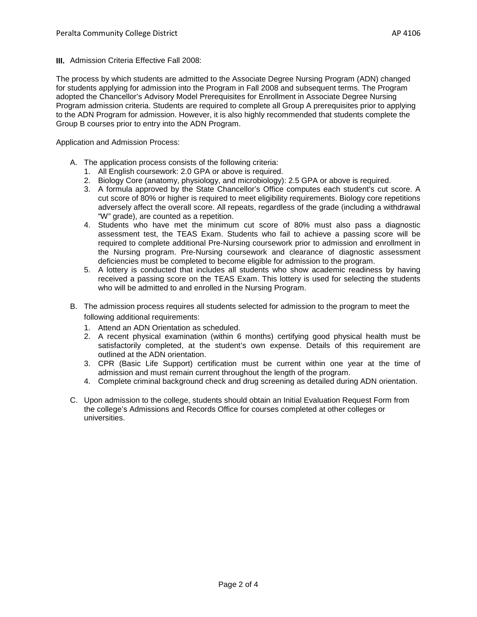**III.** Admission Criteria Effective Fall 2008:

The process by which students are admitted to the Associate Degree Nursing Program (ADN) changed for students applying for admission into the Program in Fall 2008 and subsequent terms. The Program adopted the Chancellor's Advisory Model Prerequisites for Enrollment in Associate Degree Nursing Program admission criteria. Students are required to complete all Group A prerequisites prior to applying to the ADN Program for admission. However, it is also highly recommended that students complete the Group B courses prior to entry into the ADN Program.

Application and Admission Process:

- A. The application process consists of the following criteria:
	- 1. All English coursework: 2.0 GPA or above is required.
	- 2. Biology Core (anatomy, physiology, and microbiology): 2.5 GPA or above is required.
	- 3. A formula approved by the State Chancellor's Office computes each student's cut score. A cut score of 80% or higher is required to meet eligibility requirements. Biology core repetitions adversely affect the overall score. All repeats, regardless of the grade (including a withdrawal "W" grade), are counted as a repetition.
	- 4. Students who have met the minimum cut score of 80% must also pass a diagnostic assessment test, the TEAS Exam. Students who fail to achieve a passing score will be required to complete additional Pre-Nursing coursework prior to admission and enrollment in the Nursing program. Pre-Nursing coursework and clearance of diagnostic assessment deficiencies must be completed to become eligible for admission to the program.
	- 5. A lottery is conducted that includes all students who show academic readiness by having received a passing score on the TEAS Exam. This lottery is used for selecting the students who will be admitted to and enrolled in the Nursing Program.
- B. The admission process requires all students selected for admission to the program to meet the following additional requirements:
	- 1. Attend an ADN Orientation as scheduled.
	- 2. A recent physical examination (within 6 months) certifying good physical health must be satisfactorily completed, at the student's own expense. Details of this requirement are outlined at the ADN orientation.
	- 3. CPR (Basic Life Support) certification must be current within one year at the time of admission and must remain current throughout the length of the program.
	- 4. Complete criminal background check and drug screening as detailed during ADN orientation.
- C. Upon admission to the college, students should obtain an Initial Evaluation Request Form from the college's Admissions and Records Office for courses completed at other colleges or universities.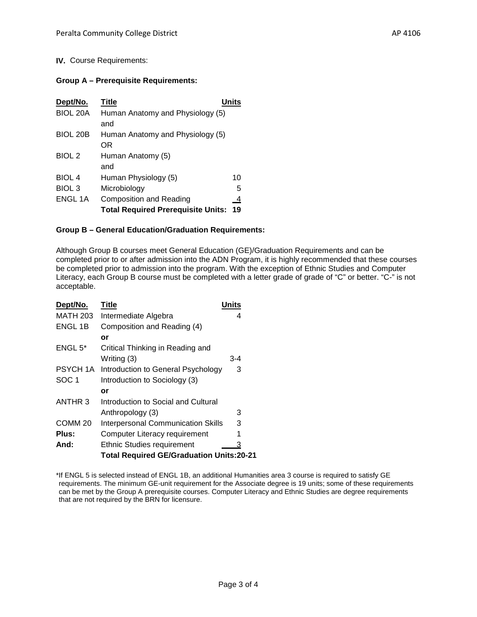# **IV.** Course Requirements:

#### **Group A – Prerequisite Requirements:**

| Dept/No.          | Title                                     | Units |
|-------------------|-------------------------------------------|-------|
| <b>BIOL 20A</b>   | Human Anatomy and Physiology (5)          |       |
|                   | and                                       |       |
| BIOL 20B          | Human Anatomy and Physiology (5)          |       |
|                   | ΟR                                        |       |
| BIOL <sub>2</sub> | Human Anatomy (5)                         |       |
|                   | and                                       |       |
| <b>BIOL 4</b>     | Human Physiology (5)                      | 10    |
| BIOL <sub>3</sub> | Microbiology                              | 5     |
| <b>ENGL 1A</b>    | <b>Composition and Reading</b>            | 4     |
|                   | <b>Total Required Prerequisite Units:</b> | 19    |

# **Group B – General Education/Graduation Requirements:**

Although Group B courses meet General Education (GE)/Graduation Requirements and can be completed prior to or after admission into the ADN Program, it is highly recommended that these courses be completed prior to admission into the program. With the exception of Ethnic Studies and Computer Literacy, each Group B course must be completed with a letter grade of grade of "C" or better. "C-" is not acceptable.

| Dept/No.           | Title                                           | Units |
|--------------------|-------------------------------------------------|-------|
| <b>MATH 203</b>    | Intermediate Algebra                            | 4     |
| <b>ENGL 1B</b>     | Composition and Reading (4)                     |       |
|                    | or                                              |       |
| ENGL 5*            | Critical Thinking in Reading and                |       |
|                    | Writing (3)                                     | $3-4$ |
| PSYCH 1A           | Introduction to General Psychology              | 3     |
| SOC <sub>1</sub>   | Introduction to Sociology (3)                   |       |
|                    | or                                              |       |
| ANTHR 3            | Introduction to Social and Cultural             |       |
|                    | Anthropology (3)                                | 3     |
| COMM <sub>20</sub> | <b>Interpersonal Communication Skills</b>       | 3     |
| <b>Plus:</b>       | Computer Literacy requirement                   | 1     |
| And:               | <b>Ethnic Studies requirement</b>               | 3     |
|                    | <b>Total Required GE/Graduation Units:20-21</b> |       |

<sup>\*</sup>If ENGL 5 is selected instead of ENGL 1B, an additional Humanities area 3 course is required to satisfy GE requirements. The minimum GE-unit requirement for the Associate degree is 19 units; some of these requirements can be met by the Group A prerequisite courses. Computer Literacy and Ethnic Studies are degree requirements that are not required by the BRN for licensure.